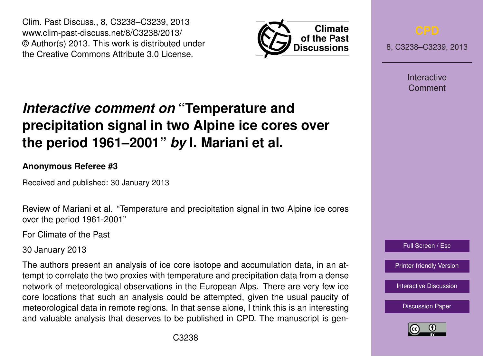Clim. Past Discuss., 8, C3238–C3239, 2013 www.clim-past-discuss.net/8/C3238/2013/ © Author(s) 2013. This work is distributed under the Creative Commons Attribute 3.0 License.



8, C3238–C3239, 2013

Interactive Comment

## *Interactive comment on* **"Temperature and precipitation signal in two Alpine ice cores over the period 1961–2001"** *by* **I. Mariani et al.**

## **Anonymous Referee #3**

Received and published: 30 January 2013

Review of Mariani et al. "Temperature and precipitation signal in two Alpine ice cores over the period 1961-2001"

For Climate of the Past

30 January 2013

The authors present an analysis of ice core isotope and accumulation data, in an attempt to correlate the two proxies with temperature and precipitation data from a dense network of meteorological observations in the European Alps. There are very few ice core locations that such an analysis could be attempted, given the usual paucity of meteorological data in remote regions. In that sense alone, I think this is an interesting and valuable analysis that deserves to be published in CPD. The manuscript is gen-



[Printer-friendly Version](http://www.clim-past-discuss.net/8/C3238/2013/cpd-8-C3238-2013-print.pdf)

[Interactive Discussion](http://www.clim-past-discuss.net/8/5867/2012/cpd-8-5867-2012-discussion.html)

[Discussion Paper](http://www.clim-past-discuss.net/8/5867/2012/cpd-8-5867-2012.pdf)